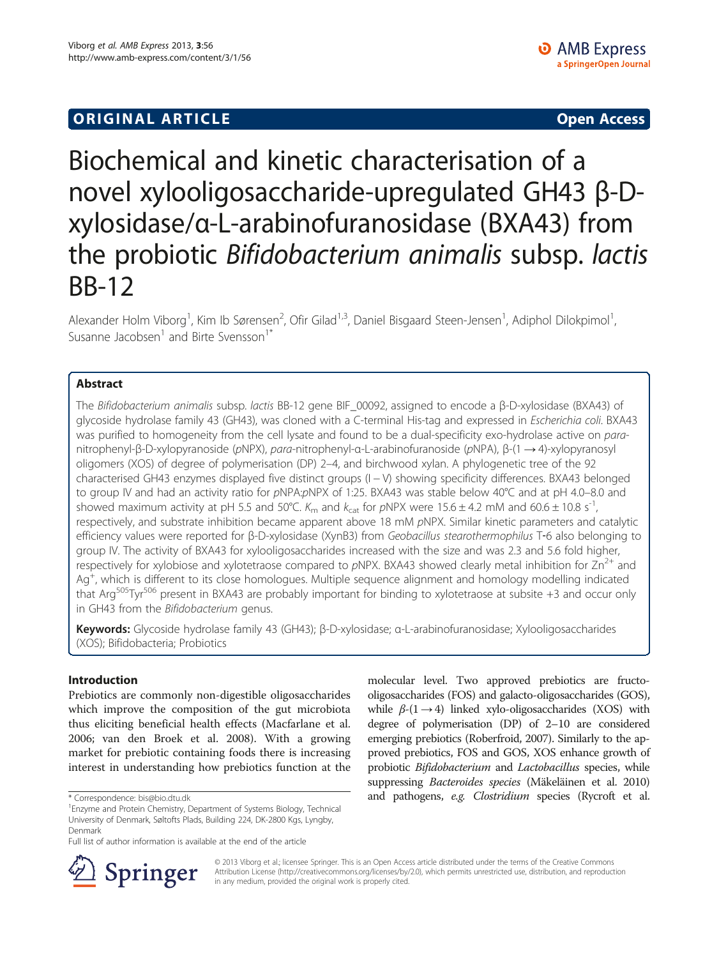# Biochemical and kinetic characterisation of a novel xylooligosaccharide-upregulated GH43 β-Dxylosidase/α-L-arabinofuranosidase (BXA43) from the probiotic Bifidobacterium animalis subsp. lactis BB-12

Alexander Holm Viborg<sup>1</sup>, Kim Ib Sørensen<sup>2</sup>, Ofir Gilad<sup>1,3</sup>, Daniel Bisgaard Steen-Jensen<sup>1</sup>, Adiphol Dilokpimol<sup>1</sup> , Susanne Jacobsen $<sup>1</sup>$  and Birte Svensson<sup>1\*</sup></sup>

# Abstract

The Bifidobacterium animalis subsp. lactis BB-12 gene BIF\_00092, assigned to encode a β-D-xylosidase (BXA43) of glycoside hydrolase family 43 (GH43), was cloned with a C-terminal His-tag and expressed in Escherichia coli. BXA43 was purified to homogeneity from the cell lysate and found to be a dual-specificity exo-hydrolase active on paranitrophenyl-β-D-xylopyranoside (pNPX), para-nitrophenyl-α-L-arabinofuranoside (pNPA), β-(1 → 4)-xylopyranosyl oligomers (XOS) of degree of polymerisation (DP) 2–4, and birchwood xylan. A phylogenetic tree of the 92 characterised GH43 enzymes displayed five distinct groups (I − V) showing specificity differences. BXA43 belonged to group IV and had an activity ratio for pNPA:pNPX of 1:25. BXA43 was stable below 40°C and at pH 4.0–8.0 and showed maximum activity at pH 5.5 and 50°C.  $K_m$  and  $k_{cat}$  for pNPX were 15.6  $\pm$  4.2 mM and 60.6  $\pm$  10.8 s<sup>-1</sup>, respectively, and substrate inhibition became apparent above 18 mM pNPX. Similar kinetic parameters and catalytic efficiency values were reported for β-D-xylosidase (XynB3) from Geobacillus stearothermophilus T-6 also belonging to group IV. The activity of BXA43 for xylooligosaccharides increased with the size and was 2.3 and 5.6 fold higher, respectively for xylobiose and xylotetraose compared to  $pNPX$ . BXA43 showed clearly metal inhibition for  $Zn^{2+}$  and Ag<sup>+</sup>, which is different to its close homologues. Multiple sequence alignment and homology modelling indicated that Arg505Tyr506 present in BXA43 are probably important for binding to xylotetraose at subsite +3 and occur only in GH43 from the Bifidobacterium genus.

Keywords: Glycoside hydrolase family 43 (GH43); β-D-xylosidase; α-L-arabinofuranosidase; Xylooligosaccharides (XOS); Bifidobacteria; Probiotics

# Introduction

Prebiotics are commonly non-digestible oligosaccharides which improve the composition of the gut microbiota thus eliciting beneficial health effects (Macfarlane et al. [2006](#page-7-0); van den Broek et al. [2008](#page-7-0)). With a growing market for prebiotic containing foods there is increasing interest in understanding how prebiotics function at the

Full list of author information is available at the end of the article





© 2013 Viborg et al.; licensee Springer. This is an Open Access article distributed under the terms of the Creative Commons Attribution License [\(http://creativecommons.org/licenses/by/2.0\)](http://creativecommons.org/licenses/by/2.0), which permits unrestricted use, distribution, and reproduction in any medium, provided the original work is properly cited.

Enzyme and Protein Chemistry, Department of Systems Biology, Technical University of Denmark, Søltofts Plads, Building 224, DK-2800 Kgs, Lyngby, Denmark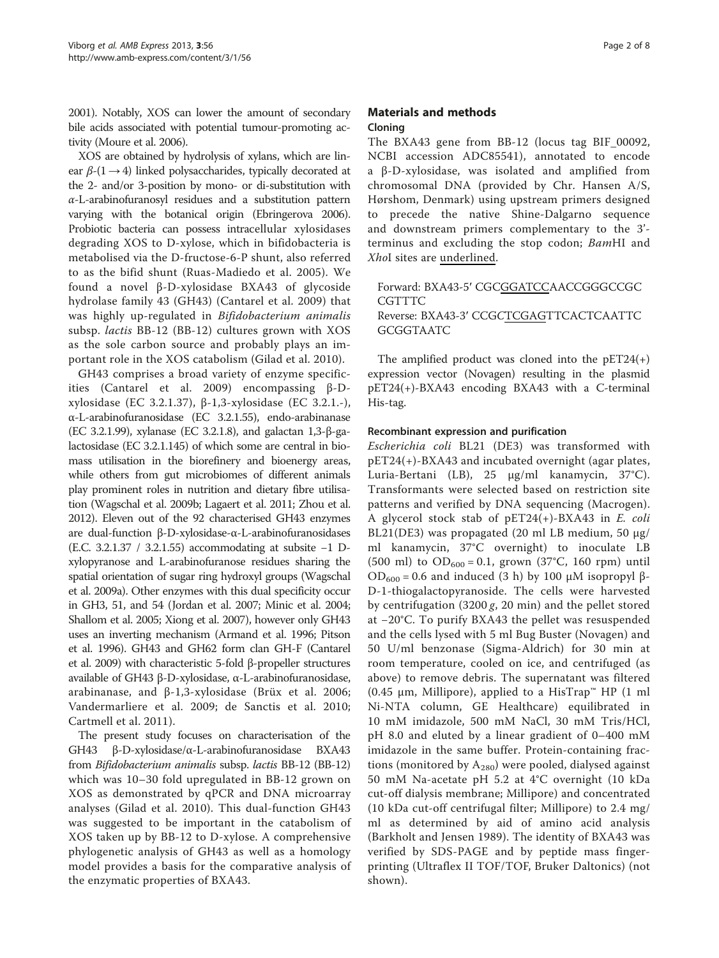<span id="page-1-0"></span>[2001\)](#page-7-0). Notably, XOS can lower the amount of secondary bile acids associated with potential tumour-promoting activity (Moure et al. [2006\)](#page-7-0).

XOS are obtained by hydrolysis of xylans, which are linear  $\beta$ -(1  $\rightarrow$  4) linked polysaccharides, typically decorated at the 2- and/or 3-position by mono- or di-substitution with  $\alpha$ -L-arabinofuranosyl residues and a substitution pattern varying with the botanical origin (Ebringerova [2006](#page-6-0)). Probiotic bacteria can possess intracellular xylosidases degrading XOS to D-xylose, which in bifidobacteria is metabolised via the D-fructose-6-P shunt, also referred to as the bifid shunt (Ruas-Madiedo et al. [2005](#page-7-0)). We found a novel β-D-xylosidase BXA43 of glycoside hydrolase family 43 (GH43) (Cantarel et al. [2009](#page-6-0)) that was highly up-regulated in Bifidobacterium animalis subsp. lactis BB-12 (BB-12) cultures grown with XOS as the sole carbon source and probably plays an important role in the XOS catabolism (Gilad et al. [2010](#page-6-0)).

GH43 comprises a broad variety of enzyme specificities (Cantarel et al. [2009\)](#page-6-0) encompassing β-Dxylosidase (EC 3.2.1.37), β-1,3-xylosidase (EC 3.2.1.-), α-L-arabinofuranosidase (EC 3.2.1.55), endo-arabinanase (EC 3.2.1.99), xylanase (EC 3.2.1.8), and galactan 1,3-β-galactosidase (EC 3.2.1.145) of which some are central in biomass utilisation in the biorefinery and bioenergy areas, while others from gut microbiomes of different animals play prominent roles in nutrition and dietary fibre utilisation (Wagschal et al. [2009b;](#page-7-0) Lagaert et al. [2011](#page-7-0); Zhou et al. [2012\)](#page-7-0). Eleven out of the 92 characterised GH43 enzymes are dual-function β-D-xylosidase-α-L-arabinofuranosidases (E.C. 3.2.1.37 / 3.2.1.55) accommodating at subsite −1 Dxylopyranose and L-arabinofuranose residues sharing the spatial orientation of sugar ring hydroxyl groups (Wagschal et al. [2009a](#page-7-0)). Other enzymes with this dual specificity occur in GH3, 51, and 54 (Jordan et al. [2007](#page-7-0); Minic et al. [2004](#page-7-0); Shallom et al. [2005;](#page-7-0) Xiong et al. [2007](#page-7-0)), however only GH43 uses an inverting mechanism (Armand et al. [1996;](#page-6-0) Pitson et al. [1996\)](#page-7-0). GH43 and GH62 form clan GH-F (Cantarel et al. [2009\)](#page-6-0) with characteristic 5-fold β-propeller structures available of GH43 β-D-xylosidase, α-L-arabinofuranosidase, arabinanase, and β-1,3-xylosidase (Brüx et al. [2006](#page-6-0); Vandermarliere et al. [2009](#page-7-0); de Sanctis et al. [2010](#page-6-0); Cartmell et al. [2011\)](#page-6-0).

The present study focuses on characterisation of the GH43 β-D-xylosidase/α-L-arabinofuranosidase BXA43 from Bifidobacterium animalis subsp. lactis BB-12 (BB-12) which was 10–30 fold upregulated in BB-12 grown on XOS as demonstrated by qPCR and DNA microarray analyses (Gilad et al. [2010](#page-6-0)). This dual-function GH43 was suggested to be important in the catabolism of XOS taken up by BB-12 to D-xylose. A comprehensive phylogenetic analysis of GH43 as well as a homology model provides a basis for the comparative analysis of the enzymatic properties of BXA43.

# Materials and methods Cloning

The BXA43 gene from BB-12 (locus tag BIF\_00092, NCBI accession ADC85541), annotated to encode a β-D-xylosidase, was isolated and amplified from chromosomal DNA (provided by Chr. Hansen A/S, Hørshom, Denmark) using upstream primers designed to precede the native Shine-Dalgarno sequence and downstream primers complementary to the 3' terminus and excluding the stop codon; BamHI and XhoI sites are underlined.

Forward: BXA43-5′ CGCGGATCCAACCGGGCCGC **CGTTTC** Reverse: BXA43-3′ CCGCTCGAGTTCACTCAATTC GCGGTAATC

The amplified product was cloned into the  $pET24(+)$ expression vector (Novagen) resulting in the plasmid pET24(+)-BXA43 encoding BXA43 with a C-terminal His-tag.

# Recombinant expression and purification

Escherichia coli BL21 (DE3) was transformed with pET24(+)-BXA43 and incubated overnight (agar plates, Luria-Bertani (LB), 25 μg/ml kanamycin, 37°C). Transformants were selected based on restriction site patterns and verified by DNA sequencing (Macrogen). A glycerol stock stab of  $pET24(+)$ -BXA43 in E. coli BL21(DE3) was propagated (20 ml LB medium, 50 μg/ ml kanamycin, 37°C overnight) to inoculate LB (500 ml) to  $OD_{600} = 0.1$ , grown (37°C, 160 rpm) until  $OD<sub>600</sub> = 0.6$  and induced (3 h) by 100 μM isopropyl β-D-1-thiogalactopyranoside. The cells were harvested by centrifugation  $(3200 g, 20 min)$  and the pellet stored at −20°C. To purify BXA43 the pellet was resuspended and the cells lysed with 5 ml Bug Buster (Novagen) and 50 U/ml benzonase (Sigma-Aldrich) for 30 min at room temperature, cooled on ice, and centrifuged (as above) to remove debris. The supernatant was filtered (0.45 μm, Millipore), applied to a HisTrap™ HP (1 ml Ni-NTA column, GE Healthcare) equilibrated in 10 mM imidazole, 500 mM NaCl, 30 mM Tris/HCl, pH 8.0 and eluted by a linear gradient of 0–400 mM imidazole in the same buffer. Protein-containing fractions (monitored by  $A_{280}$ ) were pooled, dialysed against 50 mM Na-acetate pH 5.2 at 4°C overnight (10 kDa cut-off dialysis membrane; Millipore) and concentrated (10 kDa cut-off centrifugal filter; Millipore) to 2.4 mg/ ml as determined by aid of amino acid analysis (Barkholt and Jensen [1989](#page-6-0)). The identity of BXA43 was verified by SDS-PAGE and by peptide mass fingerprinting (Ultraflex II TOF/TOF, Bruker Daltonics) (not shown).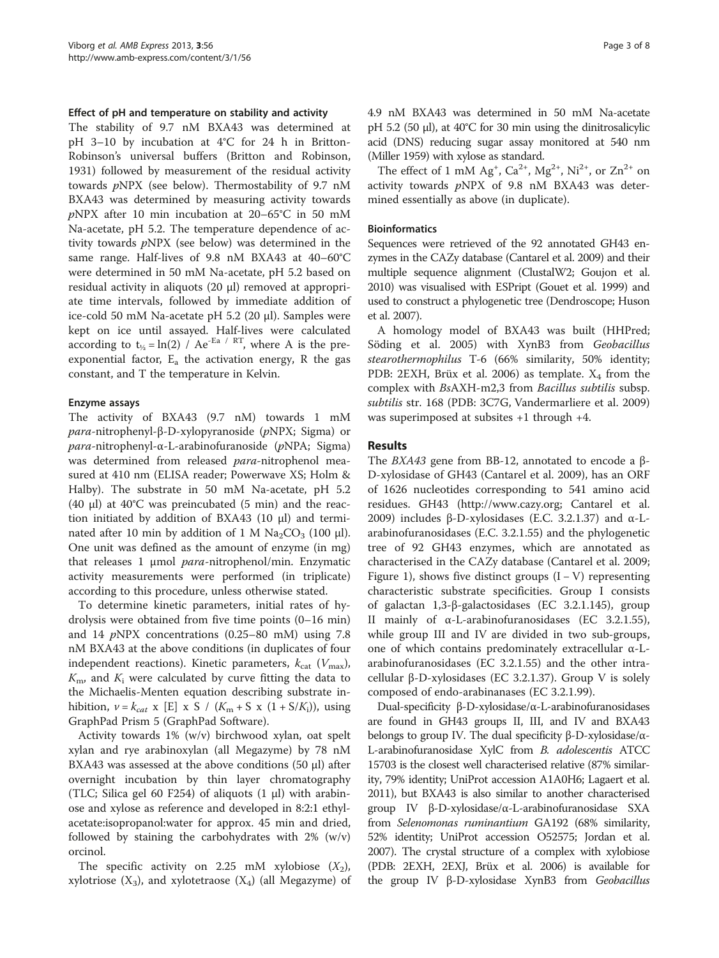## Effect of pH and temperature on stability and activity

The stability of 9.7 nM BXA43 was determined at pH 3–10 by incubation at 4°C for 24 h in Britton-Robinson's universal buffers (Britton and Robinson, [1931](#page-6-0)) followed by measurement of the residual activity towards pNPX (see below). Thermostability of 9.7 nM BXA43 was determined by measuring activity towards pNPX after 10 min incubation at 20–65°C in 50 mM Na-acetate, pH 5.2. The temperature dependence of activity towards pNPX (see below) was determined in the same range. Half-lives of 9.8 nM BXA43 at 40–60°C were determined in 50 mM Na-acetate, pH 5.2 based on residual activity in aliquots (20 μl) removed at appropriate time intervals, followed by immediate addition of ice-cold 50 mM Na-acetate pH 5.2 (20 μl). Samples were kept on ice until assayed. Half-lives were calculated according to  $t_{1/2} = \ln(2)$  / Ae<sup>-Ea</sup> / RT, where A is the preexponential factor,  $E_a$  the activation energy, R the gas constant, and T the temperature in Kelvin.

## Enzyme assays

The activity of BXA43 (9.7 nM) towards 1 mM para-nitrophenyl-β-D-xylopyranoside (pNPX; Sigma) or para-nitrophenyl-α-L-arabinofuranoside (pNPA; Sigma) was determined from released para-nitrophenol measured at 410 nm (ELISA reader; Powerwave XS; Holm & Halby). The substrate in 50 mM Na-acetate, pH 5.2 (40 μl) at 40°C was preincubated (5 min) and the reaction initiated by addition of BXA43 (10 μl) and terminated after 10 min by addition of 1 M  $\text{Na}_2\text{CO}_3$  (100 μl). One unit was defined as the amount of enzyme (in mg) that releases 1 μmol para-nitrophenol/min. Enzymatic activity measurements were performed (in triplicate) according to this procedure, unless otherwise stated.

To determine kinetic parameters, initial rates of hydrolysis were obtained from five time points (0–16 min) and 14  $p$ NPX concentrations (0.25–80 mM) using 7.8 nM BXA43 at the above conditions (in duplicates of four independent reactions). Kinetic parameters,  $k_{\text{cat}}$  ( $V_{\text{max}}$ ),  $K<sub>m</sub>$ , and  $K<sub>i</sub>$  were calculated by curve fitting the data to the Michaelis-Menten equation describing substrate inhibition,  $v = k_{cat}$  x [E] x S / ( $K_m + S$  x (1 + S/K<sub>i</sub>)), using GraphPad Prism 5 (GraphPad Software).

Activity towards 1% (w/v) birchwood xylan, oat spelt xylan and rye arabinoxylan (all Megazyme) by 78 nM BXA43 was assessed at the above conditions  $(50 \mu l)$  after overnight incubation by thin layer chromatography (TLC; Silica gel 60 F254) of aliquots  $(1 \mu l)$  with arabinose and xylose as reference and developed in 8:2:1 ethylacetate:isopropanol:water for approx. 45 min and dried, followed by staining the carbohydrates with  $2\%$  (w/v) orcinol.

The specific activity on 2.25 mM xylobiose  $(X_2)$ , xylotriose  $(X_3)$ , and xylotetraose  $(X_4)$  (all Megazyme) of 4.9 nM BXA43 was determined in 50 mM Na-acetate pH 5.2 (50 μl), at 40°C for 30 min using the dinitrosalicylic acid (DNS) reducing sugar assay monitored at 540 nm (Miller [1959\)](#page-7-0) with xylose as standard.

The effect of 1 mM Ag<sup>+</sup>, Ca<sup>2+</sup>, Mg<sup>2+</sup>, Ni<sup>2+</sup>, or Zn<sup>2+</sup> on activity towards pNPX of 9.8 nM BXA43 was determined essentially as above (in duplicate).

## **Bioinformatics**

Sequences were retrieved of the 92 annotated GH43 enzymes in the CAZy database (Cantarel et al. [2009\)](#page-6-0) and their multiple sequence alignment (ClustalW2; Goujon et al. [2010\)](#page-6-0) was visualised with ESPript (Gouet et al. [1999](#page-6-0)) and used to construct a phylogenetic tree (Dendroscope; Huson et al. [2007\)](#page-7-0).

A homology model of BXA43 was built (HHPred; Söding et al. [2005](#page-7-0)) with XynB3 from Geobacillus stearothermophilus T-6 (66% similarity, 50% identity; PDB: 2EXH, Brüx et al. [2006](#page-6-0)) as template.  $X_4$  from the complex with BsAXH-m2,3 from Bacillus subtilis subsp. subtilis str. 168 (PDB: 3C7G, Vandermarliere et al. [2009](#page-7-0)) was superimposed at subsites +1 through +4.

## Results

The BXA43 gene from BB-12, annotated to encode a β-D-xylosidase of GH43 (Cantarel et al. [2009\)](#page-6-0), has an ORF of 1626 nucleotides corresponding to 541 amino acid residues. GH43 ([http://www.cazy.org;](http://www.cazy.org) Cantarel et al. [2009](#page-6-0)) includes β-D-xylosidases (E.C. 3.2.1.37) and  $\alpha$ -Larabinofuranosidases (E.C. 3.2.1.55) and the phylogenetic tree of 92 GH43 enzymes, which are annotated as characterised in the CAZy database (Cantarel et al. [2009](#page-6-0); Figure [1\)](#page-3-0), shows five distinct groups  $(I - V)$  representing characteristic substrate specificities. Group I consists of galactan 1,3-β-galactosidases (EC 3.2.1.145), group II mainly of α-L-arabinofuranosidases (EC 3.2.1.55), while group III and IV are divided in two sub-groups, one of which contains predominately extracellular α-Larabinofuranosidases (EC 3.2.1.55) and the other intracellular β-D-xylosidases (EC 3.2.1.37). Group V is solely composed of endo-arabinanases (EC 3.2.1.99).

Dual-specificity β-D-xylosidase/α-L-arabinofuranosidases are found in GH43 groups II, III, and IV and BXA43 belongs to group IV. The dual specificity β-D-xylosidase/α-L-arabinofuranosidase XylC from B. adolescentis ATCC 15703 is the closest well characterised relative (87% similarity, 79% identity; UniProt accession A1A0H6; Lagaert et al. [2011\)](#page-7-0), but BXA43 is also similar to another characterised group IV β-D-xylosidase/α-L-arabinofuranosidase SXA from Selenomonas ruminantium GA192 (68% similarity, 52% identity; UniProt accession O52575; Jordan et al. [2007\)](#page-7-0). The crystal structure of a complex with xylobiose (PDB: 2EXH, 2EXJ, Brüx et al. [2006](#page-6-0)) is available for the group IV β-D-xylosidase XynB3 from Geobacillus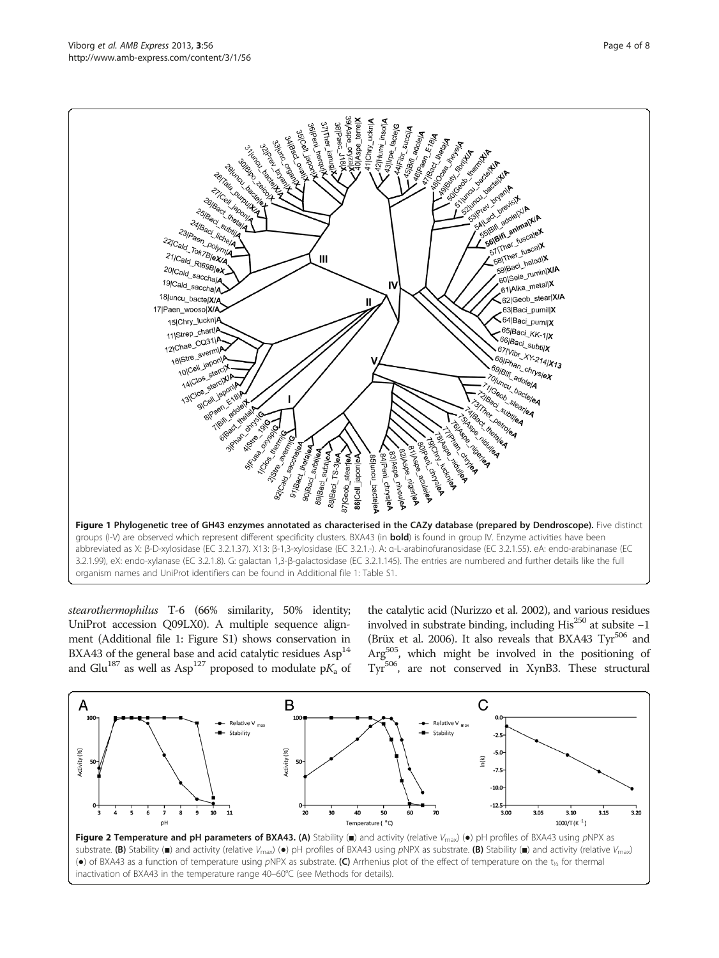<span id="page-3-0"></span>

stearothermophilus T-6 (66% similarity, 50% identity; UniProt accession Q09LX0). A multiple sequence alignment (Additional file [1:](#page-6-0) Figure S1) shows conservation in BXA43 of the general base and acid catalytic residues  $\text{Asp}^{14}$ and Glu<sup>187</sup> as well as Asp<sup>127</sup> proposed to modulate  $pK_a$  of

the catalytic acid (Nurizzo et al. [2002\)](#page-7-0), and various residues involved in substrate binding, including His<sup>250</sup> at subsite  $-1$ (Brüx et al. [2006\)](#page-6-0). It also reveals that BXA43  $Tyr^{506}$  and Arg505, which might be involved in the positioning of Tyr506, are not conserved in XynB3. These structural

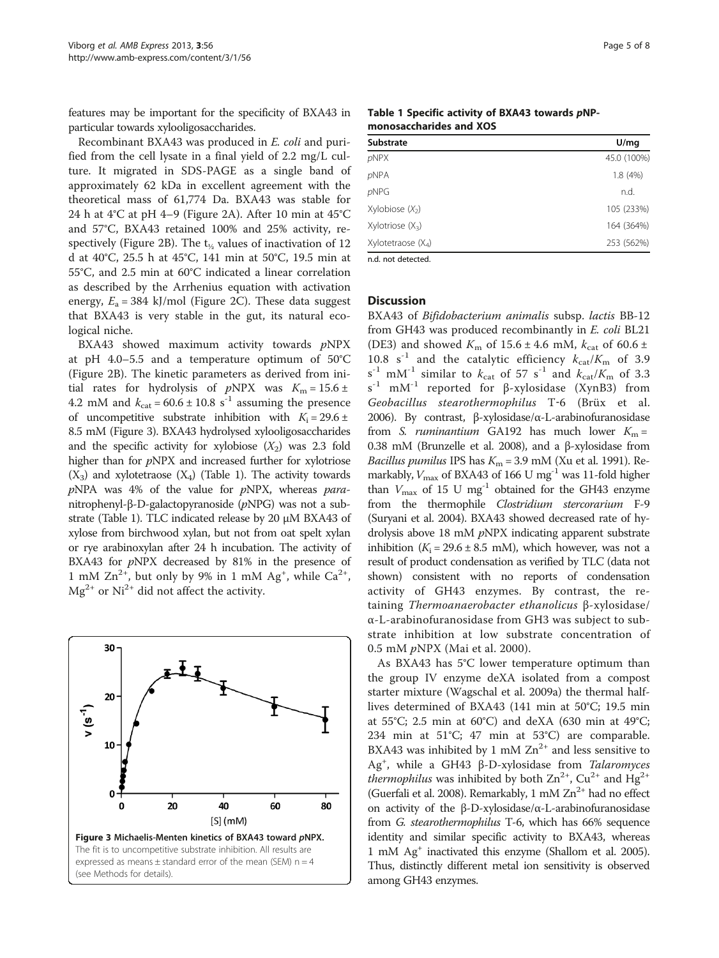<span id="page-4-0"></span>features may be important for the specificity of BXA43 in particular towards xylooligosaccharides.

Recombinant BXA43 was produced in E. coli and purified from the cell lysate in a final yield of 2.2 mg/L culture. It migrated in SDS-PAGE as a single band of approximately 62 kDa in excellent agreement with the theoretical mass of 61,774 Da. BXA43 was stable for 24 h at 4°C at pH 4–9 (Figure [2A](#page-3-0)). After 10 min at 45°C and 57°C, BXA43 retained 100% and 25% activity, re-spectively (Figure [2B](#page-3-0)). The  $t_{1/2}$  values of inactivation of 12 d at 40°C, 25.5 h at 45°C, 141 min at 50°C, 19.5 min at 55°C, and 2.5 min at 60°C indicated a linear correlation as described by the Arrhenius equation with activation energy,  $E_a = 384$  kJ/mol (Figure [2C](#page-3-0)). These data suggest that BXA43 is very stable in the gut, its natural ecological niche.

BXA43 showed maximum activity towards pNPX at pH 4.0–5.5 and a temperature optimum of 50°C (Figure [2](#page-3-0)B). The kinetic parameters as derived from initial rates for hydrolysis of  $pNPX$  was  $K_m = 15.6 \pm 10^{-10}$ 4.2 mM and  $k_{\text{cat}} = 60.6 \pm 10.8 \text{ s}^{-1}$  assuming the presence of uncompetitive substrate inhibition with  $K_i = 29.6 \pm 10^{-10}$ 8.5 mM (Figure 3). BXA43 hydrolysed xylooligosaccharides and the specific activity for xylobiose  $(X_2)$  was 2.3 fold higher than for pNPX and increased further for xylotriose  $(X_3)$  and xylotetraose  $(X_4)$  (Table 1). The activity towards  $p$ NPA was 4% of the value for  $p$ NPX, whereas  $para$ nitrophenyl-β-D-galactopyranoside (pNPG) was not a substrate (Table 1). TLC indicated release by 20 μM BXA43 of xylose from birchwood xylan, but not from oat spelt xylan or rye arabinoxylan after 24 h incubation. The activity of BXA43 for *pNPX* decreased by 81% in the presence of 1 mM  $Zn^{2+}$ , but only by 9% in 1 mM  $Ag^+$ , while  $Ca^{2+}$ ,  $Mg^{2+}$  or  $Ni^{2+}$  did not affect the activity.



Table 1 Specific activity of BXA43 towards pNPmonosaccharides and XOS

| Substrate                    | U/mq        |
|------------------------------|-------------|
| pNPX                         | 45.0 (100%) |
| <b>pNPA</b>                  | 1.8(4%)     |
| <b>pNPG</b>                  | n.d.        |
| Xylobiose $(X_2)$            | 105 (233%)  |
| Xylotriose (X <sub>3</sub> ) | 164 (364%)  |
| Xylotetraose (X4)            | 253 (562%)  |
|                              |             |

n.d. not detected.

# **Discussion**

BXA43 of Bifidobacterium animalis subsp. lactis BB-12 from GH43 was produced recombinantly in E. coli BL21 (DE3) and showed  $K_m$  of 15.6 ± 4.6 mM,  $k_{\text{cat}}$  of 60.6 ± 10.8 s<sup>-1</sup> and the catalytic efficiency  $k_{\text{cat}}/K_{\text{m}}$  of 3.9  $s^{-1}$  mM<sup>-1</sup> similar to  $k_{cat}$  of 57  $s^{-1}$  and  $k_{cat}/K_m$  of 3.3 s -1 mM-1 reported for β-xylosidase (XynB3) from Geobacillus stearothermophilus T‐6 (Brüx et al. [2006\)](#page-6-0). By contrast, β-xylosidase/α-L-arabinofuranosidase from S. *ruminantium* GA192 has much lower  $K_m =$ 0.38 mM (Brunzelle et al. [2008](#page-6-0)), and a β-xylosidase from Bacillus pumilus IPS has  $K_m = 3.9$  mM (Xu et al. [1991](#page-7-0)). Remarkably,  $V_{\text{max}}$  of BXA43 of 166 U mg<sup>-1</sup> was 11-fold higher than  $V_{\text{max}}$  of 15 U mg<sup>-1</sup> obtained for the GH43 enzyme from the thermophile Clostridium stercorarium F-9 (Suryani et al. [2004\)](#page-7-0). BXA43 showed decreased rate of hydrolysis above 18 mM pNPX indicating apparent substrate inhibition ( $K_i = 29.6 \pm 8.5$  mM), which however, was not a result of product condensation as verified by TLC (data not shown) consistent with no reports of condensation activity of GH43 enzymes. By contrast, the retaining Thermoanaerobacter ethanolicus β-xylosidase/ α-L-arabinofuranosidase from GH3 was subject to substrate inhibition at low substrate concentration of 0.5 mM pNPX (Mai et al. [2000](#page-7-0)).

As BXA43 has 5°C lower temperature optimum than the group IV enzyme deXA isolated from a compost starter mixture (Wagschal et al. [2009a\)](#page-7-0) the thermal halflives determined of BXA43 (141 min at 50°C; 19.5 min at 55°C; 2.5 min at 60°C) and deXA (630 min at 49°C; 234 min at 51°C; 47 min at 53°C) are comparable. BXA43 was inhibited by 1 mM  $\text{Zn}^{2+}$  and less sensitive to Ag<sup>+</sup>, while a GH43 β-D-xylosidase from Talaromyces *thermophilus* was inhibited by both  $\text{Zn}^{2+}$ ,  $\text{Cu}^{2+}$  and Hg<sup>2+</sup> (Guerfali et al. [2008](#page-7-0)). Remarkably, 1 mM  $Zn^{2+}$  had no effect on activity of the β-D-xylosidase/α-L-arabinofuranosidase from G. stearothermophilus T-6, which has 66% sequence identity and similar specific activity to BXA43, whereas 1 mM Ag+ inactivated this enzyme (Shallom et al. [2005](#page-7-0)). Thus, distinctly different metal ion sensitivity is observed among GH43 enzymes.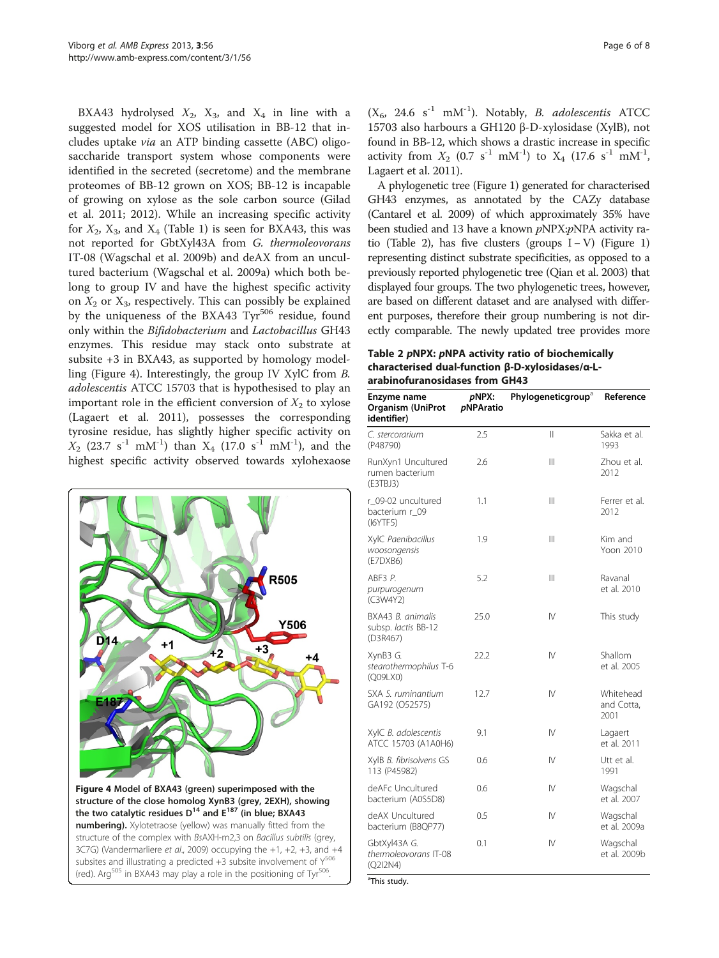<span id="page-5-0"></span>BXA43 hydrolysed  $X_2$ ,  $X_3$ , and  $X_4$  in line with a suggested model for XOS utilisation in BB-12 that includes uptake via an ATP binding cassette (ABC) oligosaccharide transport system whose components were identified in the secreted (secretome) and the membrane proteomes of BB-12 grown on XOS; BB-12 is incapable of growing on xylose as the sole carbon source (Gilad et al. [2011; 2012\)](#page-6-0). While an increasing specific activity for  $X_2$ ,  $X_3$ , and  $X_4$  (Table [1](#page-4-0)) is seen for BXA43, this was not reported for GbtXyl43A from G. thermoleovorans IT-08 (Wagschal et al. [2009b](#page-7-0)) and deAX from an uncultured bacterium (Wagschal et al. [2009a\)](#page-7-0) which both belong to group IV and have the highest specific activity on  $X_2$  or  $X_3$ , respectively. This can possibly be explained by the uniqueness of the BXA43 Tyr<sup>506</sup> residue, found only within the Bifidobacterium and Lactobacillus GH43 enzymes. This residue may stack onto substrate at subsite +3 in BXA43, as supported by homology modelling (Figure 4). Interestingly, the group IV XylC from B. adolescentis ATCC 15703 that is hypothesised to play an important role in the efficient conversion of  $X_2$  to xylose (Lagaert et al. [2011](#page-7-0)), possesses the corresponding tyrosine residue, has slightly higher specific activity on  $X_2$  (23.7 s<sup>-1</sup> mM<sup>-1</sup>) than  $X_4$  (17.0 s<sup>-1</sup> mM<sup>-1</sup>), and the highest specific activity observed towards xylohexaose



(red). Arg<sup>505</sup> in BXA43 may play a role in the positioning of Tyr<sup>506</sup>.

 $(X<sub>6</sub>, 24.6 s<sup>-1</sup> mM<sup>-1</sup>)$ . Notably, *B. adolescentis* ATCC 15703 also harbours a GH120 β-D-xylosidase (XylB), not found in BB-12, which shows a drastic increase in specific activity from  $X_2$  (0.7 s<sup>-1</sup> mM<sup>-1</sup>) to  $X_4$  (17.6 s<sup>-1</sup> mM<sup>-1</sup>, Lagaert et al. [2011\)](#page-7-0).

A phylogenetic tree (Figure [1\)](#page-3-0) generated for characterised GH43 enzymes, as annotated by the CAZy database (Cantarel et al. [2009](#page-6-0)) of which approximately 35% have been studied and 13 have a known pNPX:pNPA activity ratio (Table 2), has five clusters (groups  $I - V$ ) (Figure [1](#page-3-0)) representing distinct substrate specificities, as opposed to a previously reported phylogenetic tree (Qian et al. [2003](#page-7-0)) that displayed four groups. The two phylogenetic trees, however, are based on different dataset and are analysed with different purposes, therefore their group numbering is not directly comparable. The newly updated tree provides more

| Table 2 pNPX: pNPA activity ratio of biochemically |
|----------------------------------------------------|
| characterised dual-function β-D-xylosidases/α-L-   |
| arabinofuranosidases from GH43                     |

| Enzyme name<br><b>Organism (UniProt</b><br>identifier) | pNPX:<br><b>pNPAratio</b> | Phylogeneticgroup <sup>a</sup> | Reference                       |
|--------------------------------------------------------|---------------------------|--------------------------------|---------------------------------|
| C. stercorarium<br>(P48790)                            | 2.5                       | $\vert\vert$                   | Sakka et al.<br>1993            |
| RunXyn1 Uncultured<br>rumen bacterium<br>(E3TBJ3)      | 2.6                       | Ш                              | Zhou et al.<br>2012             |
| r_09-02 uncultured<br>bacterium r_09<br>(I6YTF5)       | 1.1                       | Ш                              | Ferrer et al.<br>2012           |
| XylC Paenibacillus<br>woosongensis<br>(E7DXB6)         | 1.9                       | Ш                              | Kim and<br>Yoon 2010            |
| ABF3 <i>P</i> .<br>purpurogenum<br>(C3W4Y2)            | 5.2                       | Ш                              | Ravanal<br>et al. 2010          |
| BXA43 B. animalis<br>subsp. lactis BB-12<br>(D3R467)   | 25.0                      | IV                             | This study                      |
| XynB3 G.<br>stearothermophilus T-6<br>(Q09LX0)         | 22.2                      | IV                             | Shallom<br>et al. 2005          |
| SXA S. ruminantium<br>GA192 (O52575)                   | 12.7                      | $\mathsf{IV}$                  | Whitehead<br>and Cotta,<br>2001 |
| XylC B. adolescentis<br>ATCC 15703 (A1A0H6)            | 9.1                       | IV                             | Lagaert<br>et al. 2011          |
| XylB B. fibrisolvens GS<br>113 (P45982)                | 0.6                       | IV                             | Utt et al.<br>1991              |
| deAFc Uncultured<br>bacterium (A0S5D8)                 | 0.6                       | IV                             | Wagschal<br>et al. 2007         |
| deAX Uncultured<br>bacterium (B8QP77)                  | 0.5                       | IV                             | Wagschal<br>et al. 2009a        |
| GbtXyl43A G.<br>thermoleovorans IT-08<br>(Q2I2N4)      | 0.1                       | IV                             | Wagschal<br>et al. 2009b        |

This study.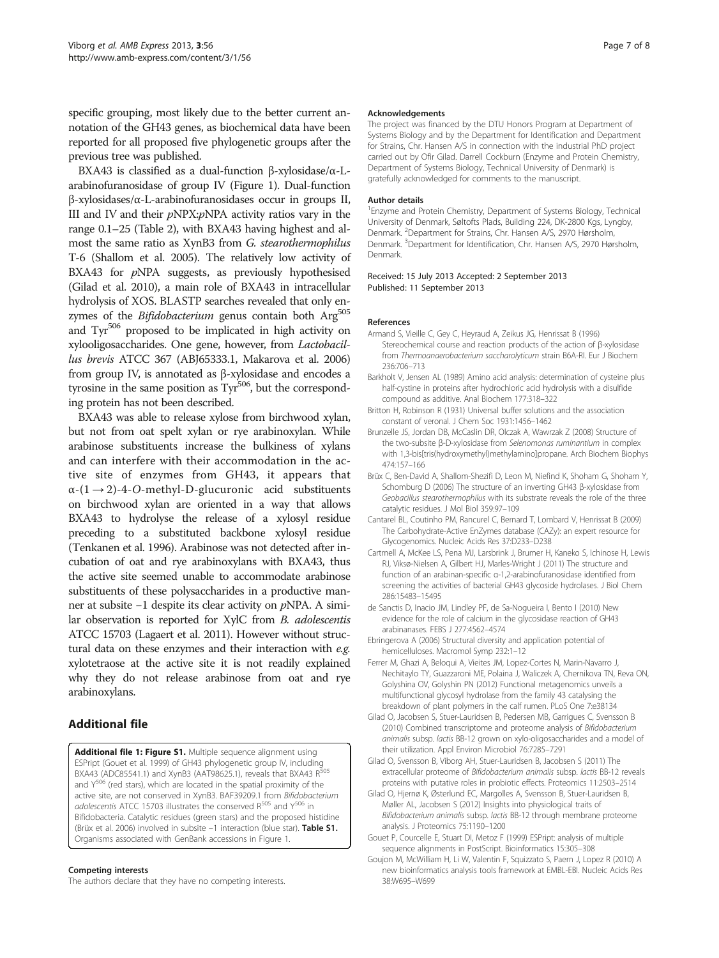<span id="page-6-0"></span>specific grouping, most likely due to the better current annotation of the GH43 genes, as biochemical data have been reported for all proposed five phylogenetic groups after the previous tree was published.

BXA43 is classified as a dual-function β-xylosidase/α-Larabinofuranosidase of group IV (Figure [1\)](#page-3-0). Dual-function β-xylosidases/α-L-arabinofuranosidases occur in groups II, III and IV and their  $p$ NPX: $p$ NPA activity ratios vary in the range 0.1–25 (Table [2](#page-5-0)), with BXA43 having highest and almost the same ratio as XynB3 from G. stearothermophilus T-6 (Shallom et al. [2005](#page-7-0)). The relatively low activity of BXA43 for  $pNPA$  suggests, as previously hypothesised (Gilad et al. 2010), a main role of BXA43 in intracellular hydrolysis of XOS. BLASTP searches revealed that only enzymes of the Bifidobacterium genus contain both Arg<sup>505</sup> and Tyr<sup>506</sup> proposed to be implicated in high activity on xylooligosaccharides. One gene, however, from Lactobacillus brevis ATCC 367 (ABJ65333.1, Makarova et al. [2006](#page-7-0)) from group IV, is annotated as β-xylosidase and encodes a tyrosine in the same position as Tyr<sup>506</sup>, but the corresponding protein has not been described.

BXA43 was able to release xylose from birchwood xylan, but not from oat spelt xylan or rye arabinoxylan. While arabinose substituents increase the bulkiness of xylans and can interfere with their accommodation in the active site of enzymes from GH43, it appears that  $\alpha$ -(1  $\rightarrow$  2)-4-O-methyl-D-glucuronic acid substituents on birchwood xylan are oriented in a way that allows BXA43 to hydrolyse the release of a xylosyl residue preceding to a substituted backbone xylosyl residue (Tenkanen et al. [1996](#page-7-0)). Arabinose was not detected after incubation of oat and rye arabinoxylans with BXA43, thus the active site seemed unable to accommodate arabinose substituents of these polysaccharides in a productive manner at subsite −1 despite its clear activity on pNPA. A similar observation is reported for XylC from B. adolescentis ATCC 15703 (Lagaert et al. [2011\)](#page-7-0). However without structural data on these enzymes and their interaction with e.g. xylotetraose at the active site it is not readily explained why they do not release arabinose from oat and rye arabinoxylans.

# Additional file

[Additional file 1: Figure S1.](http://www.biomedcentral.com/content/supplementary/2191-0855-3-56-S1.docx) Multiple sequence alignment using ESPript (Gouet et al. 1999) of GH43 phylogenetic group IV, including BXA43 (ADC85541.1) and XynB3 (AAT98625.1), reveals that BXA43  $R^5$ and  $Y^{506}$  (red stars), which are located in the spatial proximity of the active site, are not conserved in XynB3. BAF39209.1 from Bifidobacterium adolescentis ATCC 15703 illustrates the conserved  $R^{505}$  and  $Y^{506}$  in Bifidobacteria. Catalytic residues (green stars) and the proposed histidine (Brüx et al. 2006) involved in subsite -1 interaction (blue star). Table S1. Organisms associated with GenBank accessions in Figure [1](#page-3-0).

### Competing interests

The authors declare that they have no competing interests.

#### Acknowledgements

The project was financed by the DTU Honors Program at Department of Systems Biology and by the Department for Identification and Department for Strains, Chr. Hansen A/S in connection with the industrial PhD project carried out by Ofir Gilad. Darrell Cockburn (Enzyme and Protein Chemistry, Department of Systems Biology, Technical University of Denmark) is gratefully acknowledged for comments to the manuscript.

#### Author details

<sup>1</sup> Enzyme and Protein Chemistry, Department of Systems Biology, Technical University of Denmark, Søltofts Plads, Building 224, DK-2800 Kgs, Lyngby, Denmark. <sup>2</sup>Department for Strains, Chr. Hansen A/S, 2970 Hørsholm Denmark. <sup>3</sup>Department for Identification, Chr. Hansen A/S, 2970 Hørsholm Denmark.

Received: 15 July 2013 Accepted: 2 September 2013 Published: 11 September 2013

### References

- Armand S, Vieille C, Gey C, Heyraud A, Zeikus JG, Henrissat B (1996) Stereochemical course and reaction products of the action of β-xylosidase from Thermoanaerobacterium saccharolyticum strain B6A-RI. Eur J Biochem 236:706–713
- Barkholt V, Jensen AL (1989) Amino acid analysis: determination of cysteine plus half-cystine in proteins after hydrochloric acid hydrolysis with a disulfide compound as additive. Anal Biochem 177:318–322
- Britton H, Robinson R (1931) Universal buffer solutions and the association constant of veronal. J Chem Soc 1931:1456–1462
- Brunzelle JS, Jordan DB, McCaslin DR, Olczak A, Wawrzak Z (2008) Structure of the two-subsite β-D-xylosidase from Selenomonas ruminantium in complex with 1,3-bis[tris(hydroxymethyl)methylamino]propane. Arch Biochem Biophys 474:157–166
- Brüx C, Ben-David A, Shallom-Shezifi D, Leon M, Niefind K, Shoham G, Shoham Y, Schomburg D (2006) The structure of an inverting GH43 β-xylosidase from Geobacillus stearothermophilus with its substrate reveals the role of the three catalytic residues. J Mol Biol 359:97–109
- Cantarel BL, Coutinho PM, Rancurel C, Bernard T, Lombard V, Henrissat B (2009) The Carbohydrate-Active EnZymes database (CAZy): an expert resource for Glycogenomics. Nucleic Acids Res 37:D233–D238
- Cartmell A, McKee LS, Pena MJ, Larsbrink J, Brumer H, Kaneko S, Ichinose H, Lewis RJ, Viksø-Nielsen A, Gilbert HJ, Marles-Wright J (2011) The structure and function of an arabinan-specific α-1,2-arabinofuranosidase identified from screening the activities of bacterial GH43 glycoside hydrolases. J Biol Chem 286:15483–15495
- de Sanctis D, Inacio JM, Lindley PF, de Sa-Nogueira I, Bento I (2010) New evidence for the role of calcium in the glycosidase reaction of GH43 arabinanases. FEBS J 277:4562–4574
- Ebringerova A (2006) Structural diversity and application potential of hemicelluloses. Macromol Symp 232:1–12
- Ferrer M, Ghazi A, Beloqui A, Vieites JM, Lopez-Cortes N, Marin-Navarro J, Nechitaylo TY, Guazzaroni ME, Polaina J, Waliczek A, Chernikova TN, Reva ON, Golyshina OV, Golyshin PN (2012) Functional metagenomics unveils a multifunctional glycosyl hydrolase from the family 43 catalysing the breakdown of plant polymers in the calf rumen. PLoS One 7:e38134
- Gilad O, Jacobsen S, Stuer-Lauridsen B, Pedersen MB, Garrigues C, Svensson B (2010) Combined transcriptome and proteome analysis of Bifidobacterium animalis subsp. lactis BB-12 grown on xylo-oligosaccharides and a model of their utilization. Appl Environ Microbiol 76:7285–7291
- Gilad O, Svensson B, Viborg AH, Stuer-Lauridsen B, Jacobsen S (2011) The extracellular proteome of Bifidobacterium animalis subsp. lactis BB-12 reveals proteins with putative roles in probiotic effects. Proteomics 11:2503–2514
- Gilad O, Hjernø K, Østerlund EC, Margolles A, Svensson B, Stuer-Lauridsen B, Møller AL, Jacobsen S (2012) Insights into physiological traits of Bifidobacterium animalis subsp. lactis BB-12 through membrane proteome analysis. J Proteomics 75:1190–1200
- Gouet P, Courcelle E, Stuart DI, Metoz F (1999) ESPript: analysis of multiple sequence alignments in PostScript. Bioinformatics 15:305–308
- Goujon M, McWilliam H, Li W, Valentin F, Squizzato S, Paern J, Lopez R (2010) A new bioinformatics analysis tools framework at EMBL-EBI. Nucleic Acids Res 38:W695–W699